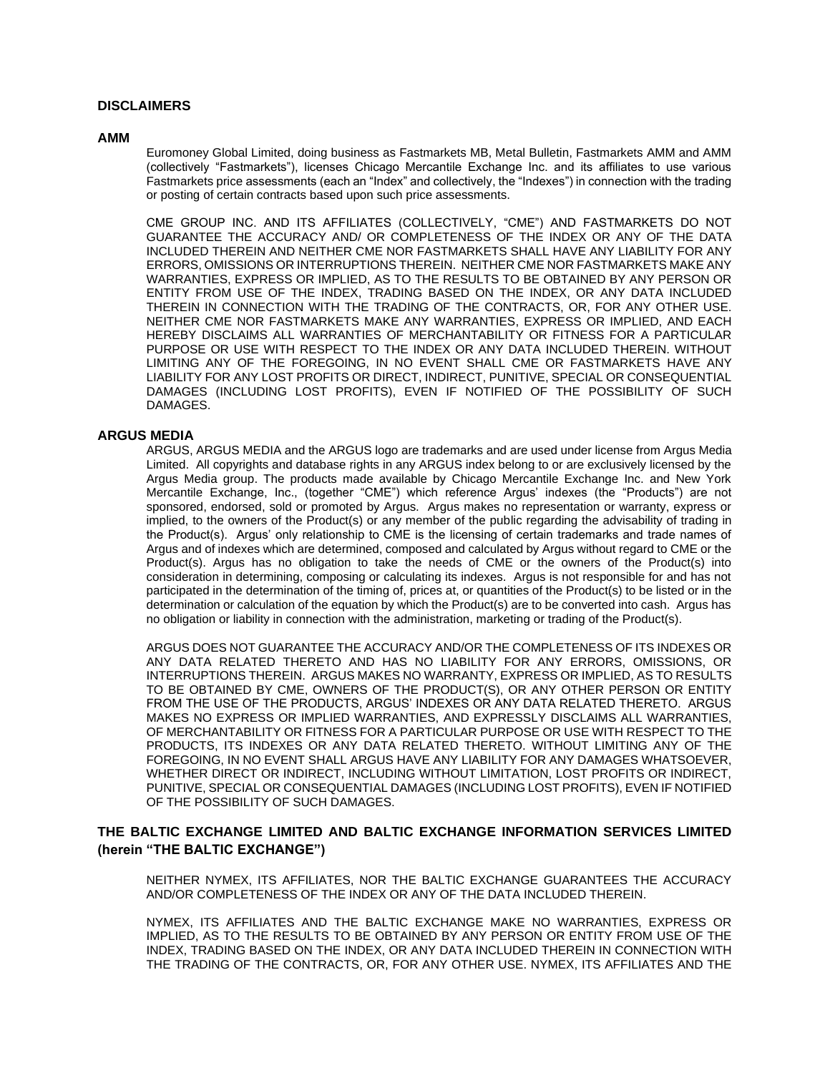## **DISCLAIMERS**

#### **AMM**

Euromoney Global Limited, doing business as Fastmarkets MB, Metal Bulletin, Fastmarkets AMM and AMM (collectively "Fastmarkets"), licenses Chicago Mercantile Exchange Inc. and its affiliates to use various Fastmarkets price assessments (each an "Index" and collectively, the "Indexes") in connection with the trading or posting of certain contracts based upon such price assessments.

CME GROUP INC. AND ITS AFFILIATES (COLLECTIVELY, "CME") AND FASTMARKETS DO NOT GUARANTEE THE ACCURACY AND/ OR COMPLETENESS OF THE INDEX OR ANY OF THE DATA INCLUDED THEREIN AND NEITHER CME NOR FASTMARKETS SHALL HAVE ANY LIABILITY FOR ANY ERRORS, OMISSIONS OR INTERRUPTIONS THEREIN. NEITHER CME NOR FASTMARKETS MAKE ANY WARRANTIES, EXPRESS OR IMPLIED, AS TO THE RESULTS TO BE OBTAINED BY ANY PERSON OR ENTITY FROM USE OF THE INDEX, TRADING BASED ON THE INDEX, OR ANY DATA INCLUDED THEREIN IN CONNECTION WITH THE TRADING OF THE CONTRACTS, OR, FOR ANY OTHER USE. NEITHER CME NOR FASTMARKETS MAKE ANY WARRANTIES, EXPRESS OR IMPLIED, AND EACH HEREBY DISCLAIMS ALL WARRANTIES OF MERCHANTABILITY OR FITNESS FOR A PARTICULAR PURPOSE OR USE WITH RESPECT TO THE INDEX OR ANY DATA INCLUDED THEREIN. WITHOUT LIMITING ANY OF THE FOREGOING, IN NO EVENT SHALL CME OR FASTMARKETS HAVE ANY LIABILITY FOR ANY LOST PROFITS OR DIRECT, INDIRECT, PUNITIVE, SPECIAL OR CONSEQUENTIAL DAMAGES (INCLUDING LOST PROFITS), EVEN IF NOTIFIED OF THE POSSIBILITY OF SUCH DAMAGES.

#### **ARGUS MEDIA**

ARGUS, ARGUS MEDIA and the ARGUS logo are trademarks and are used under license from Argus Media Limited. All copyrights and database rights in any ARGUS index belong to or are exclusively licensed by the Argus Media group. The products made available by Chicago Mercantile Exchange Inc. and New York Mercantile Exchange, Inc., (together "CME") which reference Argus' indexes (the "Products") are not sponsored, endorsed, sold or promoted by Argus. Argus makes no representation or warranty, express or implied, to the owners of the Product(s) or any member of the public regarding the advisability of trading in the Product(s). Argus' only relationship to CME is the licensing of certain trademarks and trade names of Argus and of indexes which are determined, composed and calculated by Argus without regard to CME or the Product(s). Argus has no obligation to take the needs of CME or the owners of the Product(s) into consideration in determining, composing or calculating its indexes. Argus is not responsible for and has not participated in the determination of the timing of, prices at, or quantities of the Product(s) to be listed or in the determination or calculation of the equation by which the Product(s) are to be converted into cash. Argus has no obligation or liability in connection with the administration, marketing or trading of the Product(s).

ARGUS DOES NOT GUARANTEE THE ACCURACY AND/OR THE COMPLETENESS OF ITS INDEXES OR ANY DATA RELATED THERETO AND HAS NO LIABILITY FOR ANY ERRORS, OMISSIONS, OR INTERRUPTIONS THEREIN. ARGUS MAKES NO WARRANTY, EXPRESS OR IMPLIED, AS TO RESULTS TO BE OBTAINED BY CME, OWNERS OF THE PRODUCT(S), OR ANY OTHER PERSON OR ENTITY FROM THE USE OF THE PRODUCTS, ARGUS' INDEXES OR ANY DATA RELATED THERETO. ARGUS MAKES NO EXPRESS OR IMPLIED WARRANTIES, AND EXPRESSLY DISCLAIMS ALL WARRANTIES, OF MERCHANTABILITY OR FITNESS FOR A PARTICULAR PURPOSE OR USE WITH RESPECT TO THE PRODUCTS, ITS INDEXES OR ANY DATA RELATED THERETO. WITHOUT LIMITING ANY OF THE FOREGOING, IN NO EVENT SHALL ARGUS HAVE ANY LIABILITY FOR ANY DAMAGES WHATSOEVER, WHETHER DIRECT OR INDIRECT, INCLUDING WITHOUT LIMITATION, LOST PROFITS OR INDIRECT, PUNITIVE, SPECIAL OR CONSEQUENTIAL DAMAGES (INCLUDING LOST PROFITS), EVEN IF NOTIFIED OF THE POSSIBILITY OF SUCH DAMAGES.

# **THE BALTIC EXCHANGE LIMITED AND BALTIC EXCHANGE INFORMATION SERVICES LIMITED (herein "THE BALTIC EXCHANGE")**

NEITHER NYMEX, ITS AFFILIATES, NOR THE BALTIC EXCHANGE GUARANTEES THE ACCURACY AND/OR COMPLETENESS OF THE INDEX OR ANY OF THE DATA INCLUDED THEREIN.

NYMEX, ITS AFFILIATES AND THE BALTIC EXCHANGE MAKE NO WARRANTIES, EXPRESS OR IMPLIED, AS TO THE RESULTS TO BE OBTAINED BY ANY PERSON OR ENTITY FROM USE OF THE INDEX, TRADING BASED ON THE INDEX, OR ANY DATA INCLUDED THEREIN IN CONNECTION WITH THE TRADING OF THE CONTRACTS, OR, FOR ANY OTHER USE. NYMEX, ITS AFFILIATES AND THE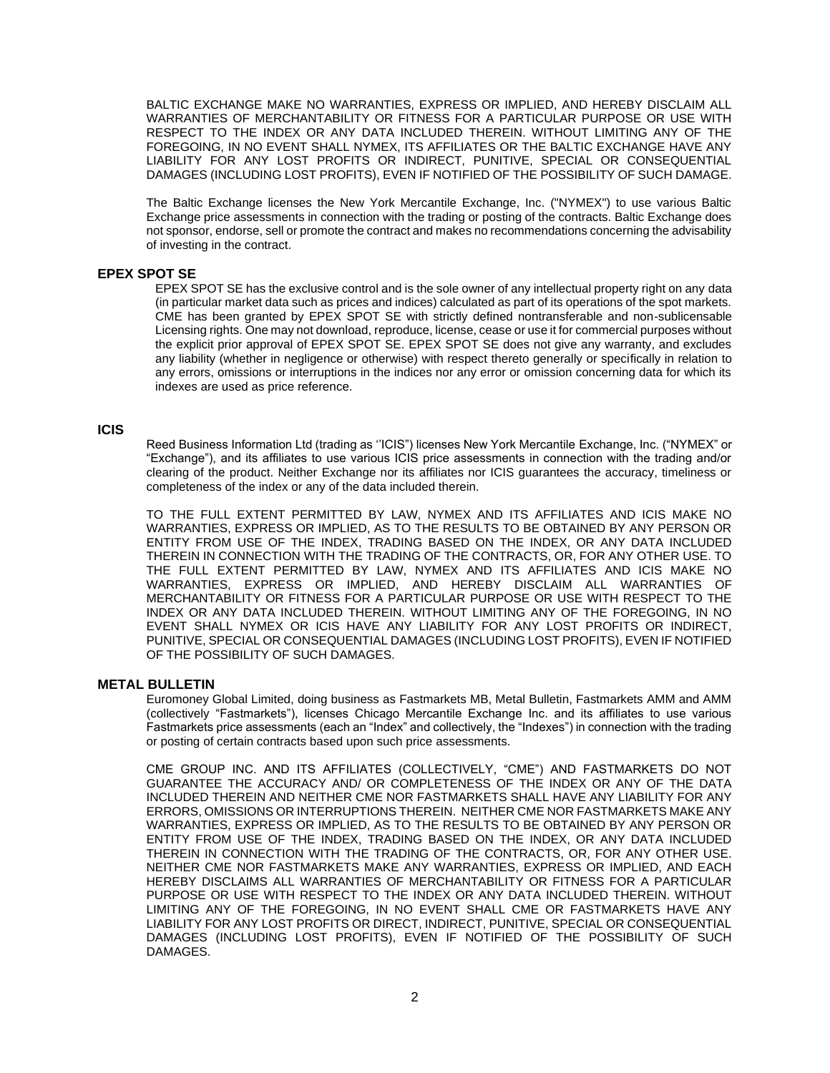BALTIC EXCHANGE MAKE NO WARRANTIES, EXPRESS OR IMPLIED, AND HEREBY DISCLAIM ALL WARRANTIES OF MERCHANTABILITY OR FITNESS FOR A PARTICULAR PURPOSE OR USE WITH RESPECT TO THE INDEX OR ANY DATA INCLUDED THEREIN. WITHOUT LIMITING ANY OF THE FOREGOING, IN NO EVENT SHALL NYMEX, ITS AFFILIATES OR THE BALTIC EXCHANGE HAVE ANY LIABILITY FOR ANY LOST PROFITS OR INDIRECT, PUNITIVE, SPECIAL OR CONSEQUENTIAL DAMAGES (INCLUDING LOST PROFITS), EVEN IF NOTIFIED OF THE POSSIBILITY OF SUCH DAMAGE.

The Baltic Exchange licenses the New York Mercantile Exchange, Inc. ("NYMEX") to use various Baltic Exchange price assessments in connection with the trading or posting of the contracts. Baltic Exchange does not sponsor, endorse, sell or promote the contract and makes no recommendations concerning the advisability of investing in the contract.

## **EPEX SPOT SE**

EPEX SPOT SE has the exclusive control and is the sole owner of any intellectual property right on any data (in particular market data such as prices and indices) calculated as part of its operations of the spot markets. CME has been granted by EPEX SPOT SE with strictly defined nontransferable and non-sublicensable Licensing rights. One may not download, reproduce, license, cease or use it for commercial purposes without the explicit prior approval of EPEX SPOT SE. EPEX SPOT SE does not give any warranty, and excludes any liability (whether in negligence or otherwise) with respect thereto generally or specifically in relation to any errors, omissions or interruptions in the indices nor any error or omission concerning data for which its indexes are used as price reference.

#### **ICIS**

Reed Business Information Ltd (trading as ''ICIS") licenses New York Mercantile Exchange, Inc. ("NYMEX" or "Exchange"), and its affiliates to use various ICIS price assessments in connection with the trading and/or clearing of the product. Neither Exchange nor its affiliates nor ICIS guarantees the accuracy, timeliness or completeness of the index or any of the data included therein.

TO THE FULL EXTENT PERMITTED BY LAW, NYMEX AND ITS AFFILIATES AND ICIS MAKE NO WARRANTIES, EXPRESS OR IMPLIED, AS TO THE RESULTS TO BE OBTAINED BY ANY PERSON OR ENTITY FROM USE OF THE INDEX, TRADING BASED ON THE INDEX, OR ANY DATA INCLUDED THEREIN IN CONNECTION WITH THE TRADING OF THE CONTRACTS, OR, FOR ANY OTHER USE. TO THE FULL EXTENT PERMITTED BY LAW, NYMEX AND ITS AFFILIATES AND ICIS MAKE NO WARRANTIES, EXPRESS OR IMPLIED, AND HEREBY DISCLAIM ALL WARRANTIES OF MERCHANTABILITY OR FITNESS FOR A PARTICULAR PURPOSE OR USE WITH RESPECT TO THE INDEX OR ANY DATA INCLUDED THEREIN. WITHOUT LIMITING ANY OF THE FOREGOING, IN NO EVENT SHALL NYMEX OR ICIS HAVE ANY LIABILITY FOR ANY LOST PROFITS OR INDIRECT, PUNITIVE, SPECIAL OR CONSEQUENTIAL DAMAGES (INCLUDING LOST PROFITS), EVEN IF NOTIFIED OF THE POSSIBILITY OF SUCH DAMAGES.

#### **METAL BULLETIN**

Euromoney Global Limited, doing business as Fastmarkets MB, Metal Bulletin, Fastmarkets AMM and AMM (collectively "Fastmarkets"), licenses Chicago Mercantile Exchange Inc. and its affiliates to use various Fastmarkets price assessments (each an "Index" and collectively, the "Indexes") in connection with the trading or posting of certain contracts based upon such price assessments.

CME GROUP INC. AND ITS AFFILIATES (COLLECTIVELY, "CME") AND FASTMARKETS DO NOT GUARANTEE THE ACCURACY AND/ OR COMPLETENESS OF THE INDEX OR ANY OF THE DATA INCLUDED THEREIN AND NEITHER CME NOR FASTMARKETS SHALL HAVE ANY LIABILITY FOR ANY ERRORS, OMISSIONS OR INTERRUPTIONS THEREIN. NEITHER CME NOR FASTMARKETS MAKE ANY WARRANTIES, EXPRESS OR IMPLIED, AS TO THE RESULTS TO BE OBTAINED BY ANY PERSON OR ENTITY FROM USE OF THE INDEX, TRADING BASED ON THE INDEX, OR ANY DATA INCLUDED THEREIN IN CONNECTION WITH THE TRADING OF THE CONTRACTS, OR, FOR ANY OTHER USE. NEITHER CME NOR FASTMARKETS MAKE ANY WARRANTIES, EXPRESS OR IMPLIED, AND EACH HEREBY DISCLAIMS ALL WARRANTIES OF MERCHANTABILITY OR FITNESS FOR A PARTICULAR PURPOSE OR USE WITH RESPECT TO THE INDEX OR ANY DATA INCLUDED THEREIN. WITHOUT LIMITING ANY OF THE FOREGOING, IN NO EVENT SHALL CME OR FASTMARKETS HAVE ANY LIABILITY FOR ANY LOST PROFITS OR DIRECT, INDIRECT, PUNITIVE, SPECIAL OR CONSEQUENTIAL DAMAGES (INCLUDING LOST PROFITS), EVEN IF NOTIFIED OF THE POSSIBILITY OF SUCH DAMAGES.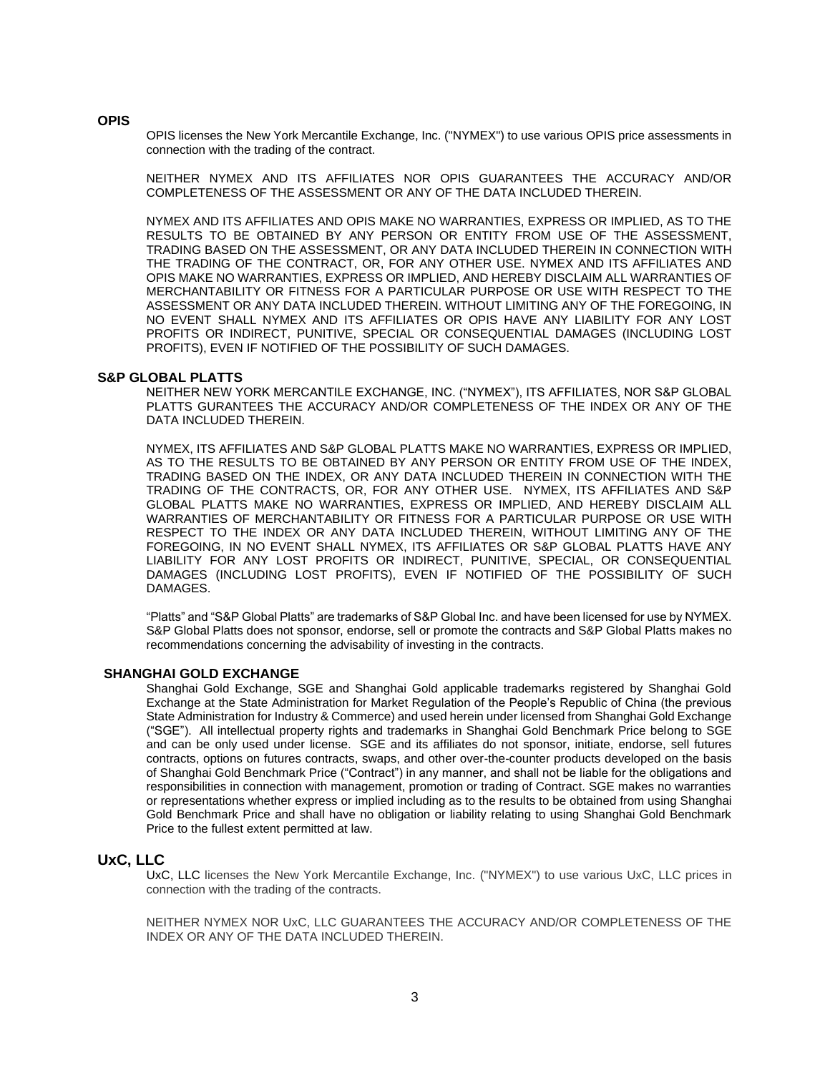#### **OPIS**

OPIS licenses the New York Mercantile Exchange, Inc. ("NYMEX") to use various OPIS price assessments in connection with the trading of the contract.

NEITHER NYMEX AND ITS AFFILIATES NOR OPIS GUARANTEES THE ACCURACY AND/OR COMPLETENESS OF THE ASSESSMENT OR ANY OF THE DATA INCLUDED THEREIN.

NYMEX AND ITS AFFILIATES AND OPIS MAKE NO WARRANTIES, EXPRESS OR IMPLIED, AS TO THE RESULTS TO BE OBTAINED BY ANY PERSON OR ENTITY FROM USE OF THE ASSESSMENT, TRADING BASED ON THE ASSESSMENT, OR ANY DATA INCLUDED THEREIN IN CONNECTION WITH THE TRADING OF THE CONTRACT, OR, FOR ANY OTHER USE. NYMEX AND ITS AFFILIATES AND OPIS MAKE NO WARRANTIES, EXPRESS OR IMPLIED, AND HEREBY DISCLAIM ALL WARRANTIES OF MERCHANTABILITY OR FITNESS FOR A PARTICULAR PURPOSE OR USE WITH RESPECT TO THE ASSESSMENT OR ANY DATA INCLUDED THEREIN. WITHOUT LIMITING ANY OF THE FOREGOING, IN NO EVENT SHALL NYMEX AND ITS AFFILIATES OR OPIS HAVE ANY LIABILITY FOR ANY LOST PROFITS OR INDIRECT, PUNITIVE, SPECIAL OR CONSEQUENTIAL DAMAGES (INCLUDING LOST PROFITS), EVEN IF NOTIFIED OF THE POSSIBILITY OF SUCH DAMAGES.

# **S&P GLOBAL PLATTS**

NEITHER NEW YORK MERCANTILE EXCHANGE, INC. ("NYMEX"), ITS AFFILIATES, NOR S&P GLOBAL PLATTS GURANTEES THE ACCURACY AND/OR COMPLETENESS OF THE INDEX OR ANY OF THE DATA INCLUDED THEREIN.

NYMEX, ITS AFFILIATES AND S&P GLOBAL PLATTS MAKE NO WARRANTIES, EXPRESS OR IMPLIED, AS TO THE RESULTS TO BE OBTAINED BY ANY PERSON OR ENTITY FROM USE OF THE INDEX, TRADING BASED ON THE INDEX, OR ANY DATA INCLUDED THEREIN IN CONNECTION WITH THE TRADING OF THE CONTRACTS, OR, FOR ANY OTHER USE. NYMEX, ITS AFFILIATES AND S&P GLOBAL PLATTS MAKE NO WARRANTIES, EXPRESS OR IMPLIED, AND HEREBY DISCLAIM ALL WARRANTIES OF MERCHANTABILITY OR FITNESS FOR A PARTICULAR PURPOSE OR USE WITH RESPECT TO THE INDEX OR ANY DATA INCLUDED THEREIN, WITHOUT LIMITING ANY OF THE FOREGOING, IN NO EVENT SHALL NYMEX, ITS AFFILIATES OR S&P GLOBAL PLATTS HAVE ANY LIABILITY FOR ANY LOST PROFITS OR INDIRECT, PUNITIVE, SPECIAL, OR CONSEQUENTIAL DAMAGES (INCLUDING LOST PROFITS), EVEN IF NOTIFIED OF THE POSSIBILITY OF SUCH DAMAGES.

"Platts" and "S&P Global Platts" are trademarks of S&P Global Inc. and have been licensed for use by NYMEX. S&P Global Platts does not sponsor, endorse, sell or promote the contracts and S&P Global Platts makes no recommendations concerning the advisability of investing in the contracts.

#### **SHANGHAI GOLD EXCHANGE**

Shanghai Gold Exchange, SGE and Shanghai Gold applicable trademarks registered by Shanghai Gold Exchange at the State Administration for Market Regulation of the People's Republic of China (the previous State Administration for Industry & Commerce) and used herein under licensed from Shanghai Gold Exchange ("SGE"). All intellectual property rights and trademarks in Shanghai Gold Benchmark Price belong to SGE and can be only used under license. SGE and its affiliates do not sponsor, initiate, endorse, sell futures contracts, options on futures contracts, swaps, and other over-the-counter products developed on the basis of Shanghai Gold Benchmark Price ("Contract") in any manner, and shall not be liable for the obligations and responsibilities in connection with management, promotion or trading of Contract. SGE makes no warranties or representations whether express or implied including as to the results to be obtained from using Shanghai Gold Benchmark Price and shall have no obligation or liability relating to using Shanghai Gold Benchmark Price to the fullest extent permitted at law.

#### **UxC, LLC**

UxC, LLC licenses the New York Mercantile Exchange, Inc. ("NYMEX") to use various UxC, LLC prices in connection with the trading of the contracts.

NEITHER NYMEX NOR UxC, LLC GUARANTEES THE ACCURACY AND/OR COMPLETENESS OF THE INDEX OR ANY OF THE DATA INCLUDED THEREIN.